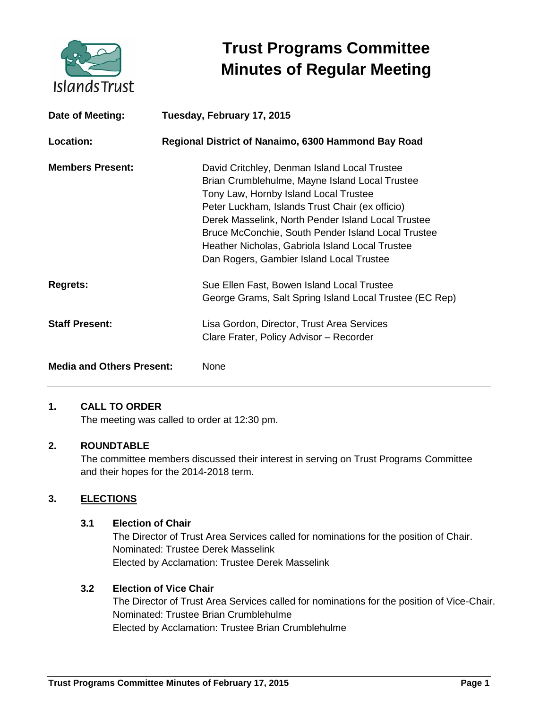

# **Trust Programs Committee Minutes of Regular Meeting**

| Date of Meeting:                 | Tuesday, February 17, 2015                                                                                                                                                                                                                                                                                                                                                                            |
|----------------------------------|-------------------------------------------------------------------------------------------------------------------------------------------------------------------------------------------------------------------------------------------------------------------------------------------------------------------------------------------------------------------------------------------------------|
| Location:                        | Regional District of Nanaimo, 6300 Hammond Bay Road                                                                                                                                                                                                                                                                                                                                                   |
| <b>Members Present:</b>          | David Critchley, Denman Island Local Trustee<br>Brian Crumblehulme, Mayne Island Local Trustee<br>Tony Law, Hornby Island Local Trustee<br>Peter Luckham, Islands Trust Chair (ex officio)<br>Derek Masselink, North Pender Island Local Trustee<br>Bruce McConchie, South Pender Island Local Trustee<br>Heather Nicholas, Gabriola Island Local Trustee<br>Dan Rogers, Gambier Island Local Trustee |
| <b>Regrets:</b>                  | Sue Ellen Fast, Bowen Island Local Trustee<br>George Grams, Salt Spring Island Local Trustee (EC Rep)                                                                                                                                                                                                                                                                                                 |
| <b>Staff Present:</b>            | Lisa Gordon, Director, Trust Area Services<br>Clare Frater, Policy Advisor - Recorder                                                                                                                                                                                                                                                                                                                 |
| <b>Media and Others Present:</b> | None                                                                                                                                                                                                                                                                                                                                                                                                  |

## **1. CALL TO ORDER**

The meeting was called to order at 12:30 pm.

## **2. ROUNDTABLE**

The committee members discussed their interest in serving on Trust Programs Committee and their hopes for the 2014-2018 term.

## **3. ELECTIONS**

## **3.1 Election of Chair**

The Director of Trust Area Services called for nominations for the position of Chair. Nominated: Trustee Derek Masselink Elected by Acclamation: Trustee Derek Masselink

## **3.2 Election of Vice Chair**

The Director of Trust Area Services called for nominations for the position of Vice-Chair. Nominated: Trustee Brian Crumblehulme Elected by Acclamation: Trustee Brian Crumblehulme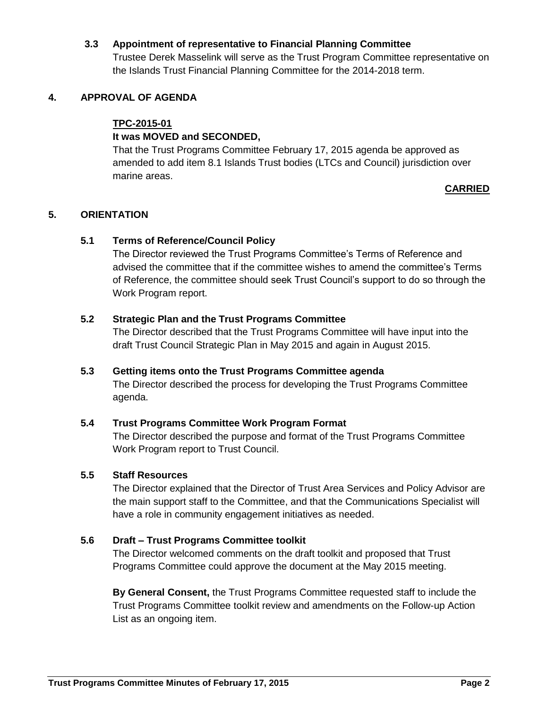## **3.3 Appointment of representative to Financial Planning Committee**

Trustee Derek Masselink will serve as the Trust Program Committee representative on the Islands Trust Financial Planning Committee for the 2014-2018 term.

## **4. APPROVAL OF AGENDA**

## **TPC-2015-01**

## **It was MOVED and SECONDED,**

That the Trust Programs Committee February 17, 2015 agenda be approved as amended to add item 8.1 Islands Trust bodies (LTCs and Council) jurisdiction over marine areas.

## **CARRIED**

## **5. ORIENTATION**

## **5.1 Terms of Reference/Council Policy**

The Director reviewed the Trust Programs Committee's Terms of Reference and advised the committee that if the committee wishes to amend the committee's Terms of Reference, the committee should seek Trust Council's support to do so through the Work Program report.

## **5.2 Strategic Plan and the Trust Programs Committee**

The Director described that the Trust Programs Committee will have input into the draft Trust Council Strategic Plan in May 2015 and again in August 2015.

## **5.3 Getting items onto the Trust Programs Committee agenda**

The Director described the process for developing the Trust Programs Committee agenda.

## **5.4 Trust Programs Committee Work Program Format**

The Director described the purpose and format of the Trust Programs Committee Work Program report to Trust Council.

## **5.5 Staff Resources**

The Director explained that the Director of Trust Area Services and Policy Advisor are the main support staff to the Committee, and that the Communications Specialist will have a role in community engagement initiatives as needed.

## **5.6 Draft – Trust Programs Committee toolkit**

The Director welcomed comments on the draft toolkit and proposed that Trust Programs Committee could approve the document at the May 2015 meeting.

**By General Consent,** the Trust Programs Committee requested staff to include the Trust Programs Committee toolkit review and amendments on the Follow-up Action List as an ongoing item.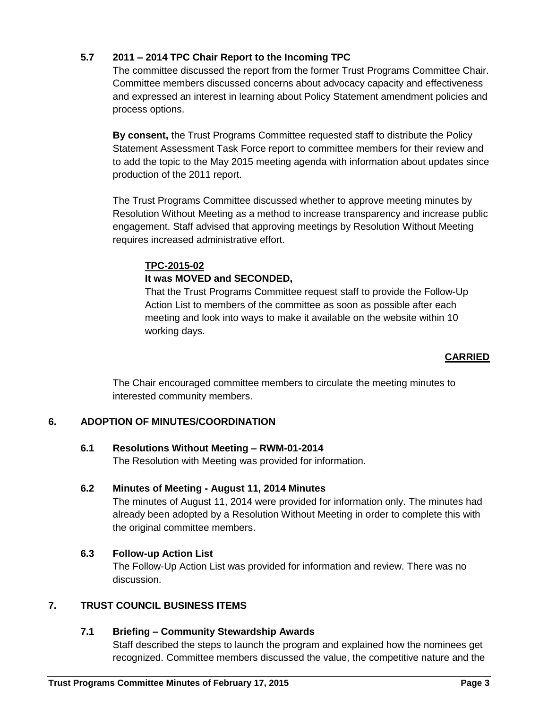## **5.7 2011 – 2014 TPC Chair Report to the Incoming TPC**

The committee discussed the report from the former Trust Programs Committee Chair. Committee members discussed concerns about advocacy capacity and effectiveness and expressed an interest in learning about Policy Statement amendment policies and process options.

**By consent,** the Trust Programs Committee requested staff to distribute the Policy Statement Assessment Task Force report to committee members for their review and to add the topic to the May 2015 meeting agenda with information about updates since production of the 2011 report.

The Trust Programs Committee discussed whether to approve meeting minutes by Resolution Without Meeting as a method to increase transparency and increase public engagement. Staff advised that approving meetings by Resolution Without Meeting requires increased administrative effort.

## **TPC-2015-02**

## **It was MOVED and SECONDED,**

That the Trust Programs Committee request staff to provide the Follow-Up Action List to members of the committee as soon as possible after each meeting and look into ways to make it available on the website within 10 working days.

## **CARRIED**

The Chair encouraged committee members to circulate the meeting minutes to interested community members.

## **6. ADOPTION OF MINUTES/COORDINATION**

## **6.1 Resolutions Without Meeting – RWM-01-2014**

The Resolution with Meeting was provided for information.

## **6.2 Minutes of Meeting - August 11, 2014 Minutes**

The minutes of August 11, 2014 were provided for information only. The minutes had already been adopted by a Resolution Without Meeting in order to complete this with the original committee members.

## **6.3 Follow-up Action List**

The Follow-Up Action List was provided for information and review. There was no discussion.

## **7. TRUST COUNCIL BUSINESS ITEMS**

## **7.1 Briefing – Community Stewardship Awards**

Staff described the steps to launch the program and explained how the nominees get recognized. Committee members discussed the value, the competitive nature and the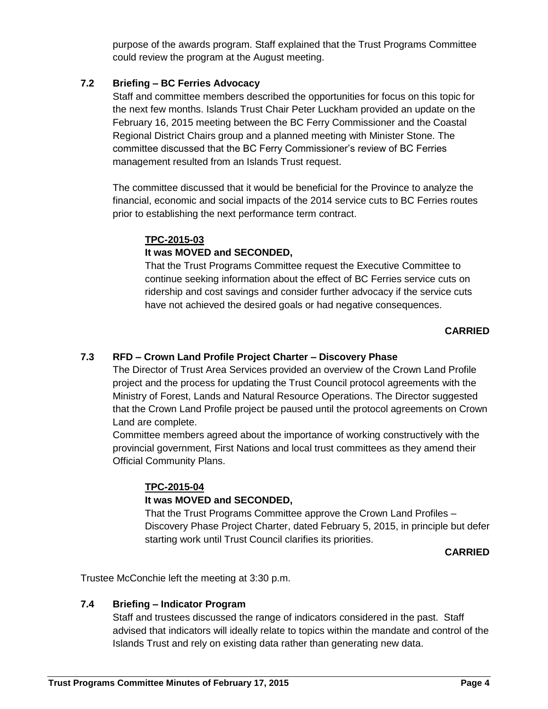purpose of the awards program. Staff explained that the Trust Programs Committee could review the program at the August meeting.

## **7.2 Briefing – BC Ferries Advocacy**

Staff and committee members described the opportunities for focus on this topic for the next few months. Islands Trust Chair Peter Luckham provided an update on the February 16, 2015 meeting between the BC Ferry Commissioner and the Coastal Regional District Chairs group and a planned meeting with Minister Stone. The committee discussed that the BC Ferry Commissioner's review of BC Ferries management resulted from an Islands Trust request.

The committee discussed that it would be beneficial for the Province to analyze the financial, economic and social impacts of the 2014 service cuts to BC Ferries routes prior to establishing the next performance term contract.

## **TPC-2015-03**

## **It was MOVED and SECONDED,**

That the Trust Programs Committee request the Executive Committee to continue seeking information about the effect of BC Ferries service cuts on ridership and cost savings and consider further advocacy if the service cuts have not achieved the desired goals or had negative consequences.

## **CARRIED**

## **7.3 RFD – Crown Land Profile Project Charter – Discovery Phase**

The Director of Trust Area Services provided an overview of the Crown Land Profile project and the process for updating the Trust Council protocol agreements with the Ministry of Forest, Lands and Natural Resource Operations. The Director suggested that the Crown Land Profile project be paused until the protocol agreements on Crown Land are complete.

Committee members agreed about the importance of working constructively with the provincial government, First Nations and local trust committees as they amend their Official Community Plans.

## **TPC-2015-04**

## **It was MOVED and SECONDED,**

That the Trust Programs Committee approve the Crown Land Profiles – Discovery Phase Project Charter, dated February 5, 2015, in principle but defer starting work until Trust Council clarifies its priorities.

## **CARRIED**

Trustee McConchie left the meeting at 3:30 p.m.

## **7.4 Briefing – Indicator Program**

Staff and trustees discussed the range of indicators considered in the past. Staff advised that indicators will ideally relate to topics within the mandate and control of the Islands Trust and rely on existing data rather than generating new data.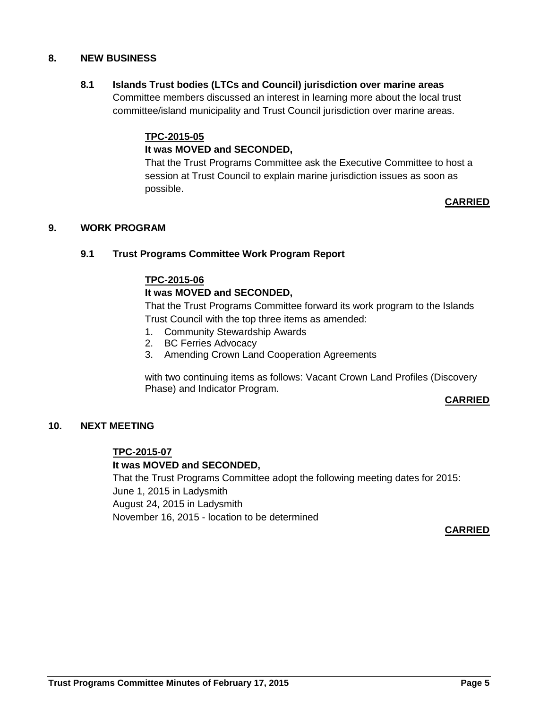## **8. NEW BUSINESS**

## **8.1 Islands Trust bodies (LTCs and Council) jurisdiction over marine areas**

Committee members discussed an interest in learning more about the local trust committee/island municipality and Trust Council jurisdiction over marine areas.

#### **TPC-2015-05**

## **It was MOVED and SECONDED,**

That the Trust Programs Committee ask the Executive Committee to host a session at Trust Council to explain marine jurisdiction issues as soon as possible.

## **CARRIED**

#### **9. WORK PROGRAM**

#### **9.1 Trust Programs Committee Work Program Report**

#### **TPC-2015-06**

#### **It was MOVED and SECONDED,**

That the Trust Programs Committee forward its work program to the Islands Trust Council with the top three items as amended:

- 1. Community Stewardship Awards
- 2. BC Ferries Advocacy
- 3. Amending Crown Land Cooperation Agreements

with two continuing items as follows: Vacant Crown Land Profiles (Discovery Phase) and Indicator Program.

#### **CARRIED**

#### **10. NEXT MEETING**

#### **TPC-2015-07**

#### **It was MOVED and SECONDED,**

That the Trust Programs Committee adopt the following meeting dates for 2015: June 1, 2015 in Ladysmith August 24, 2015 in Ladysmith November 16, 2015 - location to be determined

#### **CARRIED**